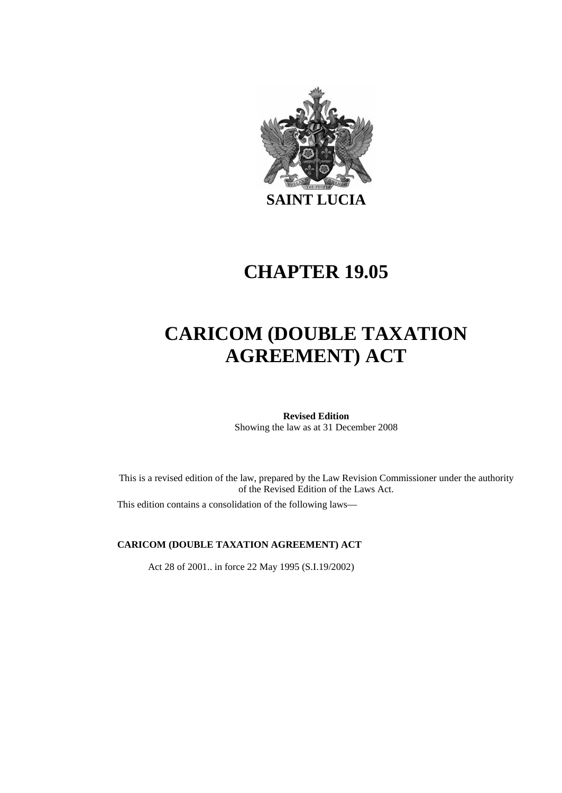

# **CHAPTER 19.05**

# **CARICOM (DOUBLE TAXATION AGREEMENT) ACT**

#### **Revised Edition**

Showing the law as at 31 December 2008

This is a revised edition of the law, prepared by the Law Revision Commissioner under the authority of the Revised Edition of the Laws Act.

This edition contains a consolidation of the following laws—

#### **CARICOM (DOUBLE TAXATION AGREEMENT) ACT**

Act 28 of 2001.. in force 22 May 1995 (S.I.19/2002)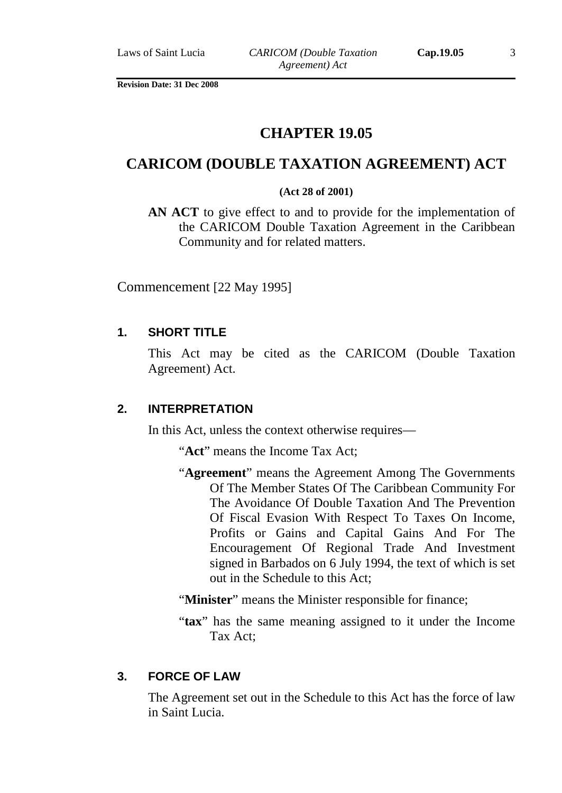# **CHAPTER 19.05**

# **CARICOM (DOUBLE TAXATION AGREEMENT) ACT**

#### **(Act 28 of 2001)**

**AN ACT** to give effect to and to provide for the implementation of the CARICOM Double Taxation Agreement in the Caribbean Community and for related matters.

Commencement [22 May 1995]

## **1. SHORT TITLE**

This Act may be cited as the CARICOM (Double Taxation Agreement) Act.

#### **2. INTERPRETATION**

In this Act, unless the context otherwise requires—

"**Act**" means the Income Tax Act;

- "**Agreement**" means the Agreement Among The Governments Of The Member States Of The Caribbean Community For The Avoidance Of Double Taxation And The Prevention Of Fiscal Evasion With Respect To Taxes On Income, Profits or Gains and Capital Gains And For The Encouragement Of Regional Trade And Investment signed in Barbados on 6 July 1994, the text of which is set out in the Schedule to this Act;
- "**Minister**" means the Minister responsible for finance;
- "**tax**" has the same meaning assigned to it under the Income Tax Act;

#### **3. FORCE OF LAW**

The Agreement set out in the Schedule to this Act has the force of law in Saint Lucia.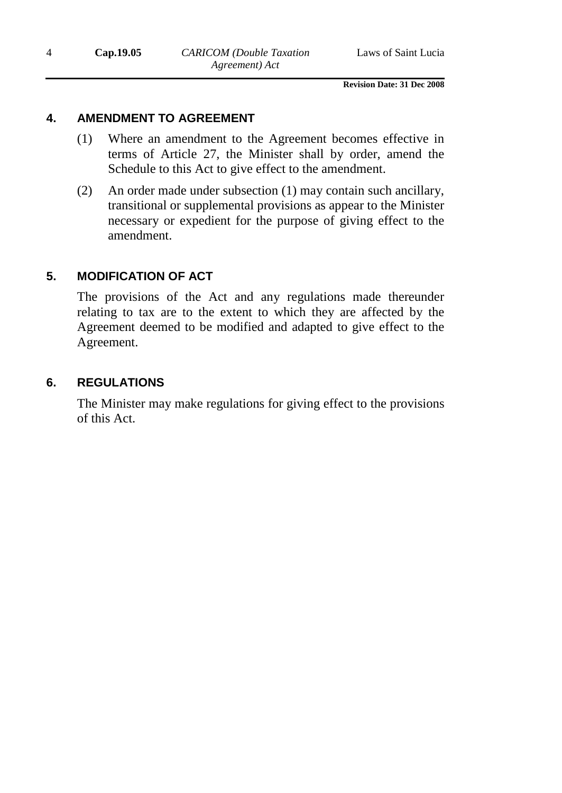### **4. AMENDMENT TO AGREEMENT**

- (1) Where an amendment to the Agreement becomes effective in terms of Article 27, the Minister shall by order, amend the Schedule to this Act to give effect to the amendment.
- (2) An order made under subsection (1) may contain such ancillary, transitional or supplemental provisions as appear to the Minister necessary or expedient for the purpose of giving effect to the amendment.

# **5. MODIFICATION OF ACT**

The provisions of the Act and any regulations made thereunder relating to tax are to the extent to which they are affected by the Agreement deemed to be modified and adapted to give effect to the Agreement.

## **6. REGULATIONS**

The Minister may make regulations for giving effect to the provisions of this Act.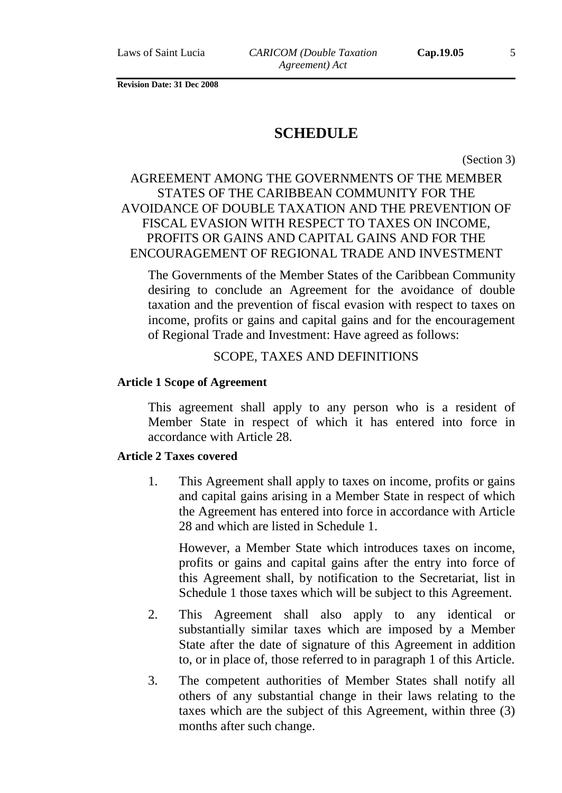# **SCHEDULE**

(Section 3)

# AGREEMENT AMONG THE GOVERNMENTS OF THE MEMBER STATES OF THE CARIBBEAN COMMUNITY FOR THE AVOIDANCE OF DOUBLE TAXATION AND THE PREVENTION OF FISCAL EVASION WITH RESPECT TO TAXES ON INCOME, PROFITS OR GAINS AND CAPITAL GAINS AND FOR THE ENCOURAGEMENT OF REGIONAL TRADE AND INVESTMENT

The Governments of the Member States of the Caribbean Community desiring to conclude an Agreement for the avoidance of double taxation and the prevention of fiscal evasion with respect to taxes on income, profits or gains and capital gains and for the encouragement of Regional Trade and Investment: Have agreed as follows:

#### SCOPE, TAXES AND DEFINITIONS

#### **Article 1 Scope of Agreement**

This agreement shall apply to any person who is a resident of Member State in respect of which it has entered into force in accordance with Article 28.

#### **Article 2 Taxes covered**

1. This Agreement shall apply to taxes on income, profits or gains and capital gains arising in a Member State in respect of which the Agreement has entered into force in accordance with Article 28 and which are listed in Schedule 1.

However, a Member State which introduces taxes on income, profits or gains and capital gains after the entry into force of this Agreement shall, by notification to the Secretariat, list in Schedule 1 those taxes which will be subject to this Agreement.

- 2. This Agreement shall also apply to any identical or substantially similar taxes which are imposed by a Member State after the date of signature of this Agreement in addition to, or in place of, those referred to in paragraph 1 of this Article.
- 3. The competent authorities of Member States shall notify all others of any substantial change in their laws relating to the taxes which are the subject of this Agreement, within three (3) months after such change.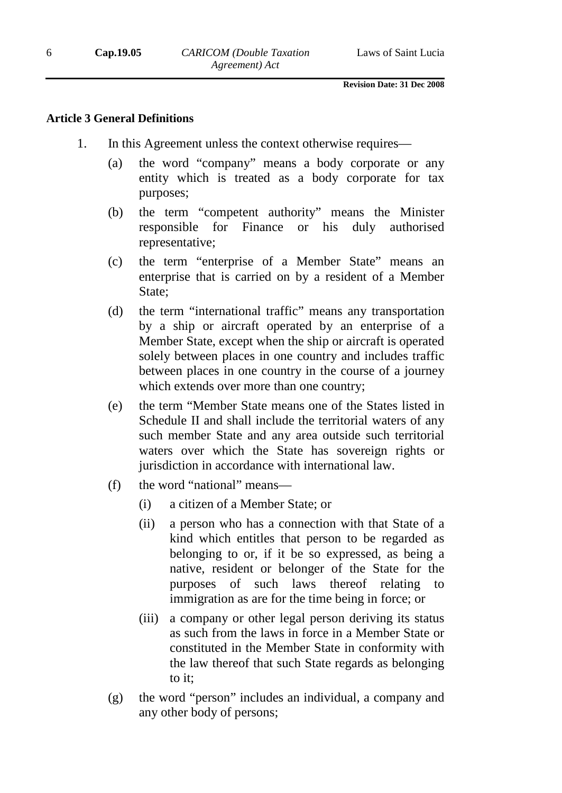#### **Article 3 General Definitions**

- 1. In this Agreement unless the context otherwise requires—
	- (a) the word "company" means a body corporate or any entity which is treated as a body corporate for tax purposes;
	- (b) the term "competent authority" means the Minister responsible for Finance or his duly authorised representative;
	- (c) the term "enterprise of a Member State" means an enterprise that is carried on by a resident of a Member State;
	- (d) the term "international traffic" means any transportation by a ship or aircraft operated by an enterprise of a Member State, except when the ship or aircraft is operated solely between places in one country and includes traffic between places in one country in the course of a journey which extends over more than one country;
	- (e) the term "Member State means one of the States listed in Schedule II and shall include the territorial waters of any such member State and any area outside such territorial waters over which the State has sovereign rights or jurisdiction in accordance with international law.
	- (f) the word "national" means—
		- (i) a citizen of a Member State; or
		- (ii) a person who has a connection with that State of a kind which entitles that person to be regarded as belonging to or, if it be so expressed, as being a native, resident or belonger of the State for the purposes of such laws thereof relating to immigration as are for the time being in force; or
		- (iii) a company or other legal person deriving its status as such from the laws in force in a Member State or constituted in the Member State in conformity with the law thereof that such State regards as belonging to it;
	- (g) the word "person" includes an individual, a company and any other body of persons;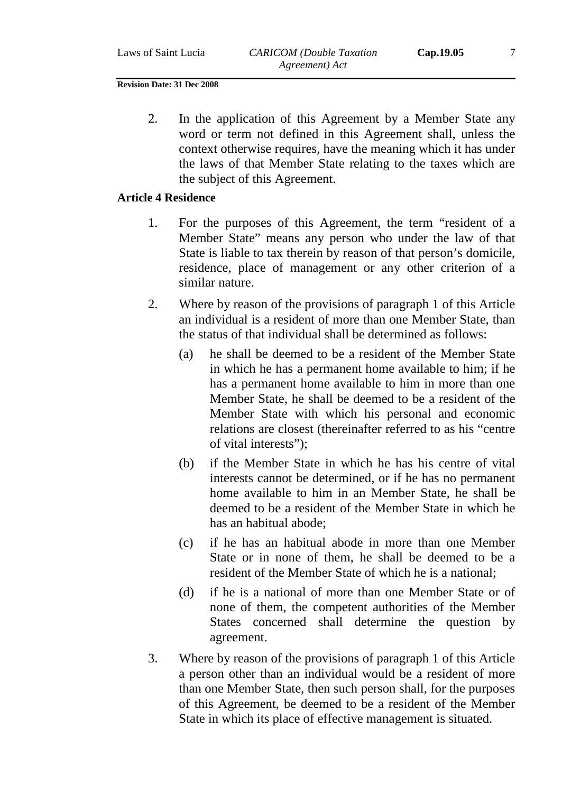2. In the application of this Agreement by a Member State any word or term not defined in this Agreement shall, unless the context otherwise requires, have the meaning which it has under the laws of that Member State relating to the taxes which are the subject of this Agreement.

#### **Article 4 Residence**

- 1. For the purposes of this Agreement, the term "resident of a Member State" means any person who under the law of that State is liable to tax therein by reason of that person's domicile, residence, place of management or any other criterion of a similar nature.
- 2. Where by reason of the provisions of paragraph 1 of this Article an individual is a resident of more than one Member State, than the status of that individual shall be determined as follows:
	- (a) he shall be deemed to be a resident of the Member State in which he has a permanent home available to him; if he has a permanent home available to him in more than one Member State, he shall be deemed to be a resident of the Member State with which his personal and economic relations are closest (thereinafter referred to as his "centre of vital interests");
	- (b) if the Member State in which he has his centre of vital interests cannot be determined, or if he has no permanent home available to him in an Member State, he shall be deemed to be a resident of the Member State in which he has an habitual abode;
	- (c) if he has an habitual abode in more than one Member State or in none of them, he shall be deemed to be a resident of the Member State of which he is a national;
	- (d) if he is a national of more than one Member State or of none of them, the competent authorities of the Member States concerned shall determine the question by agreement.
- 3. Where by reason of the provisions of paragraph 1 of this Article a person other than an individual would be a resident of more than one Member State, then such person shall, for the purposes of this Agreement, be deemed to be a resident of the Member State in which its place of effective management is situated.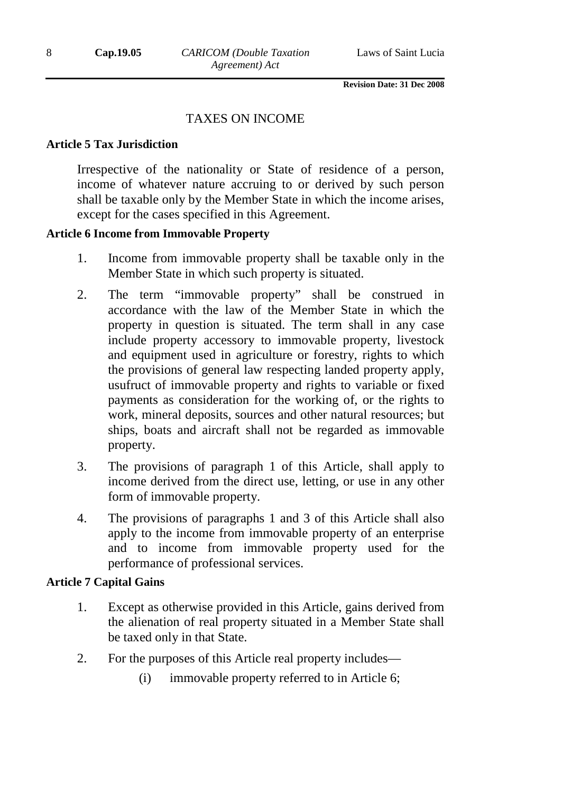#### TAXES ON INCOME

#### **Article 5 Tax Jurisdiction**

Irrespective of the nationality or State of residence of a person, income of whatever nature accruing to or derived by such person shall be taxable only by the Member State in which the income arises, except for the cases specified in this Agreement.

#### **Article 6 Income from Immovable Property**

- 1. Income from immovable property shall be taxable only in the Member State in which such property is situated.
- 2. The term "immovable property" shall be construed in accordance with the law of the Member State in which the property in question is situated. The term shall in any case include property accessory to immovable property, livestock and equipment used in agriculture or forestry, rights to which the provisions of general law respecting landed property apply, usufruct of immovable property and rights to variable or fixed payments as consideration for the working of, or the rights to work, mineral deposits, sources and other natural resources; but ships, boats and aircraft shall not be regarded as immovable property.
- 3. The provisions of paragraph 1 of this Article, shall apply to income derived from the direct use, letting, or use in any other form of immovable property.
- 4. The provisions of paragraphs 1 and 3 of this Article shall also apply to the income from immovable property of an enterprise and to income from immovable property used for the performance of professional services.

### **Article 7 Capital Gains**

- 1. Except as otherwise provided in this Article, gains derived from the alienation of real property situated in a Member State shall be taxed only in that State.
- 2. For the purposes of this Article real property includes—
	- (i) immovable property referred to in Article 6;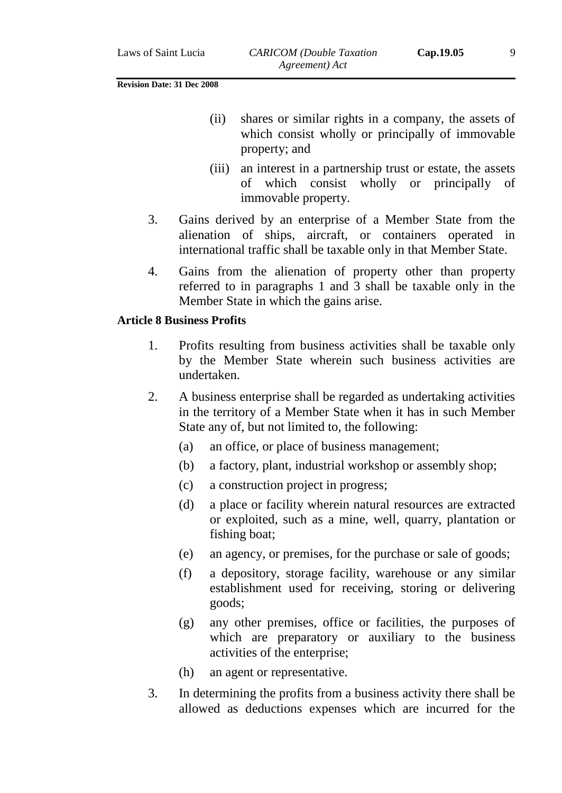- (ii) shares or similar rights in a company, the assets of which consist wholly or principally of immovable property; and
- (iii) an interest in a partnership trust or estate, the assets of which consist wholly or principally of immovable property.
- 3. Gains derived by an enterprise of a Member State from the alienation of ships, aircraft, or containers operated in international traffic shall be taxable only in that Member State.
- 4. Gains from the alienation of property other than property referred to in paragraphs 1 and 3 shall be taxable only in the Member State in which the gains arise.

#### **Article 8 Business Profits**

- 1. Profits resulting from business activities shall be taxable only by the Member State wherein such business activities are undertaken.
- 2. A business enterprise shall be regarded as undertaking activities in the territory of a Member State when it has in such Member State any of, but not limited to, the following:
	- (a) an office, or place of business management;
	- (b) a factory, plant, industrial workshop or assembly shop;
	- (c) a construction project in progress;
	- (d) a place or facility wherein natural resources are extracted or exploited, such as a mine, well, quarry, plantation or fishing boat;
	- (e) an agency, or premises, for the purchase or sale of goods;
	- (f) a depository, storage facility, warehouse or any similar establishment used for receiving, storing or delivering goods;
	- (g) any other premises, office or facilities, the purposes of which are preparatory or auxiliary to the business activities of the enterprise;
	- (h) an agent or representative.
- 3. In determining the profits from a business activity there shall be allowed as deductions expenses which are incurred for the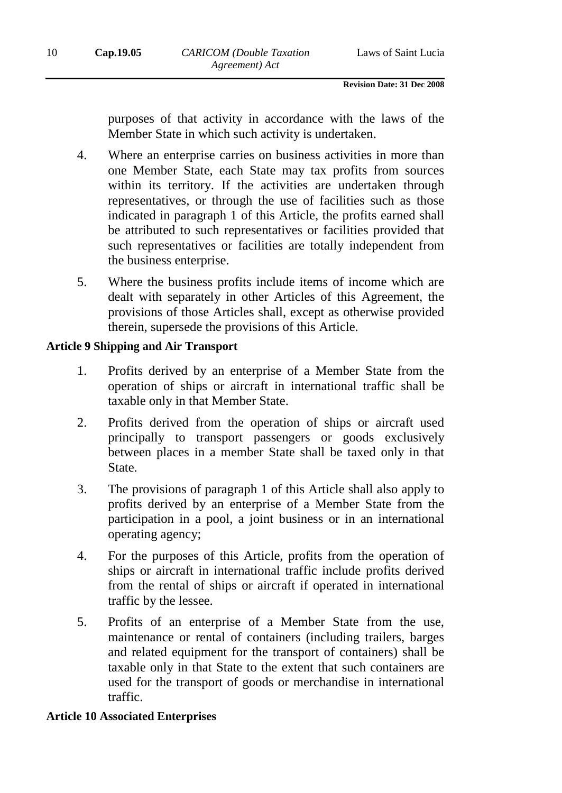purposes of that activity in accordance with the laws of the Member State in which such activity is undertaken.

- 4. Where an enterprise carries on business activities in more than one Member State, each State may tax profits from sources within its territory. If the activities are undertaken through representatives, or through the use of facilities such as those indicated in paragraph 1 of this Article, the profits earned shall be attributed to such representatives or facilities provided that such representatives or facilities are totally independent from the business enterprise.
- 5. Where the business profits include items of income which are dealt with separately in other Articles of this Agreement, the provisions of those Articles shall, except as otherwise provided therein, supersede the provisions of this Article.

#### **Article 9 Shipping and Air Transport**

- 1. Profits derived by an enterprise of a Member State from the operation of ships or aircraft in international traffic shall be taxable only in that Member State.
- 2. Profits derived from the operation of ships or aircraft used principally to transport passengers or goods exclusively between places in a member State shall be taxed only in that State.
- 3. The provisions of paragraph 1 of this Article shall also apply to profits derived by an enterprise of a Member State from the participation in a pool, a joint business or in an international operating agency;
- 4. For the purposes of this Article, profits from the operation of ships or aircraft in international traffic include profits derived from the rental of ships or aircraft if operated in international traffic by the lessee.
- 5. Profits of an enterprise of a Member State from the use, maintenance or rental of containers (including trailers, barges and related equipment for the transport of containers) shall be taxable only in that State to the extent that such containers are used for the transport of goods or merchandise in international traffic.

#### **Article 10 Associated Enterprises**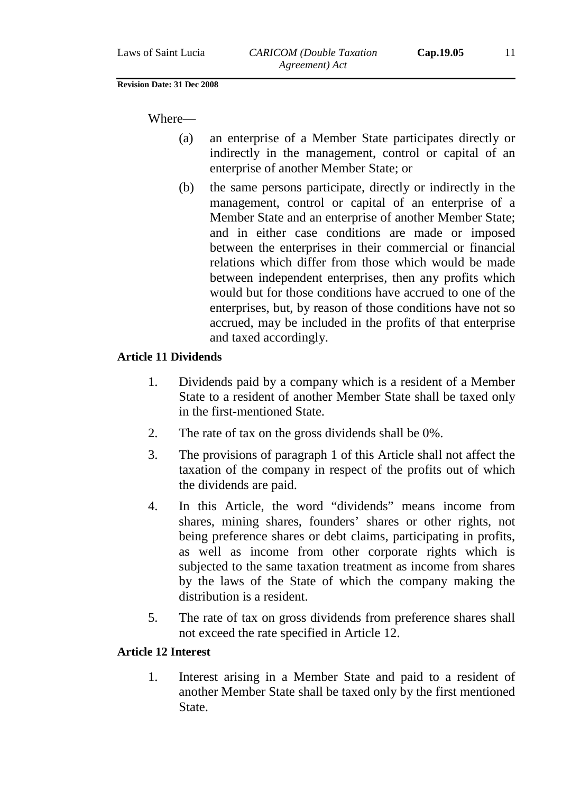Where—

- (a) an enterprise of a Member State participates directly or indirectly in the management, control or capital of an enterprise of another Member State; or
- (b) the same persons participate, directly or indirectly in the management, control or capital of an enterprise of a Member State and an enterprise of another Member State; and in either case conditions are made or imposed between the enterprises in their commercial or financial relations which differ from those which would be made between independent enterprises, then any profits which would but for those conditions have accrued to one of the enterprises, but, by reason of those conditions have not so accrued, may be included in the profits of that enterprise and taxed accordingly.

#### **Article 11 Dividends**

- 1. Dividends paid by a company which is a resident of a Member State to a resident of another Member State shall be taxed only in the first-mentioned State.
- 2. The rate of tax on the gross dividends shall be 0%.
- 3. The provisions of paragraph 1 of this Article shall not affect the taxation of the company in respect of the profits out of which the dividends are paid.
- 4. In this Article, the word "dividends" means income from shares, mining shares, founders' shares or other rights, not being preference shares or debt claims, participating in profits, as well as income from other corporate rights which is subjected to the same taxation treatment as income from shares by the laws of the State of which the company making the distribution is a resident.
- 5. The rate of tax on gross dividends from preference shares shall not exceed the rate specified in Article 12.

#### **Article 12 Interest**

1. Interest arising in a Member State and paid to a resident of another Member State shall be taxed only by the first mentioned State.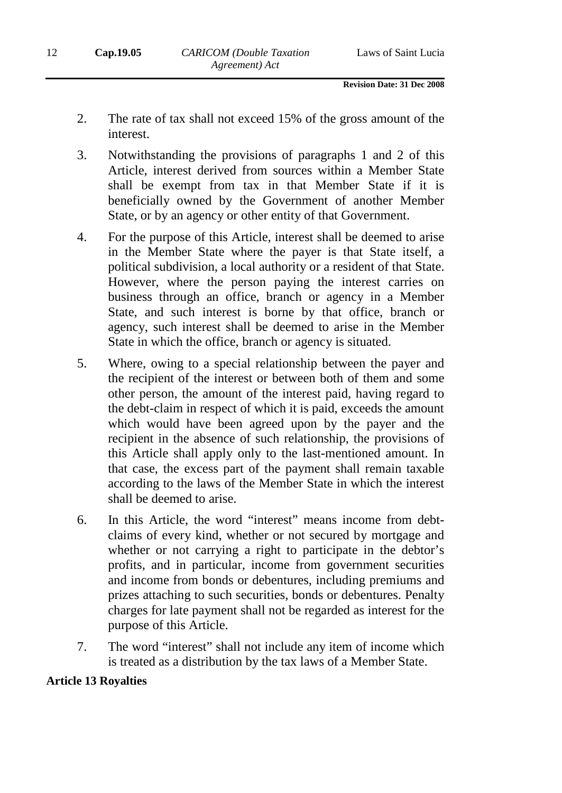- 2. The rate of tax shall not exceed 15% of the gross amount of the interest.
- 3. Notwithstanding the provisions of paragraphs 1 and 2 of this Article, interest derived from sources within a Member State shall be exempt from tax in that Member State if it is beneficially owned by the Government of another Member State, or by an agency or other entity of that Government.
- 4. For the purpose of this Article, interest shall be deemed to arise in the Member State where the payer is that State itself, a political subdivision, a local authority or a resident of that State. However, where the person paying the interest carries on business through an office, branch or agency in a Member State, and such interest is borne by that office, branch or agency, such interest shall be deemed to arise in the Member State in which the office, branch or agency is situated.
- 5. Where, owing to a special relationship between the payer and the recipient of the interest or between both of them and some other person, the amount of the interest paid, having regard to the debt-claim in respect of which it is paid, exceeds the amount which would have been agreed upon by the payer and the recipient in the absence of such relationship, the provisions of this Article shall apply only to the last-mentioned amount. In that case, the excess part of the payment shall remain taxable according to the laws of the Member State in which the interest shall be deemed to arise.
- 6. In this Article, the word "interest" means income from debtclaims of every kind, whether or not secured by mortgage and whether or not carrying a right to participate in the debtor's profits, and in particular, income from government securities and income from bonds or debentures, including premiums and prizes attaching to such securities, bonds or debentures. Penalty charges for late payment shall not be regarded as interest for the purpose of this Article.
- 7. The word "interest" shall not include any item of income which is treated as a distribution by the tax laws of a Member State.

#### **Article 13 Royalties**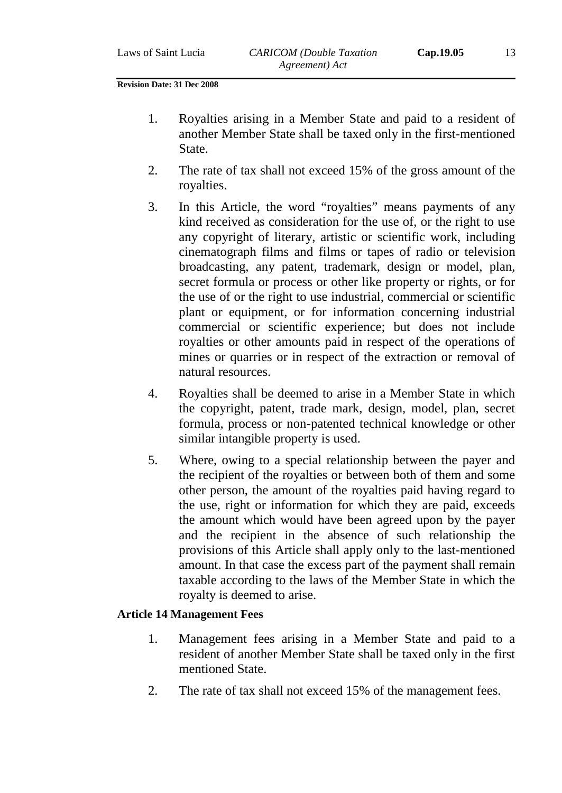- 1. Royalties arising in a Member State and paid to a resident of another Member State shall be taxed only in the first-mentioned State.
- 2. The rate of tax shall not exceed 15% of the gross amount of the royalties.
- 3. In this Article, the word "royalties" means payments of any kind received as consideration for the use of, or the right to use any copyright of literary, artistic or scientific work, including cinematograph films and films or tapes of radio or television broadcasting, any patent, trademark, design or model, plan, secret formula or process or other like property or rights, or for the use of or the right to use industrial, commercial or scientific plant or equipment, or for information concerning industrial commercial or scientific experience; but does not include royalties or other amounts paid in respect of the operations of mines or quarries or in respect of the extraction or removal of natural resources.
- 4. Royalties shall be deemed to arise in a Member State in which the copyright, patent, trade mark, design, model, plan, secret formula, process or non-patented technical knowledge or other similar intangible property is used.
- 5. Where, owing to a special relationship between the payer and the recipient of the royalties or between both of them and some other person, the amount of the royalties paid having regard to the use, right or information for which they are paid, exceeds the amount which would have been agreed upon by the payer and the recipient in the absence of such relationship the provisions of this Article shall apply only to the last-mentioned amount. In that case the excess part of the payment shall remain taxable according to the laws of the Member State in which the royalty is deemed to arise.

## **Article 14 Management Fees**

- 1. Management fees arising in a Member State and paid to a resident of another Member State shall be taxed only in the first mentioned State.
- 2. The rate of tax shall not exceed 15% of the management fees.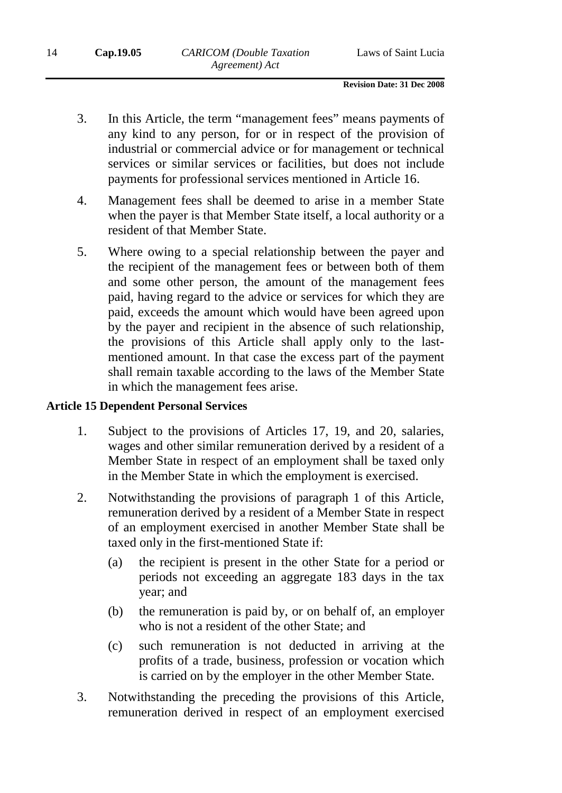- 3. In this Article, the term "management fees" means payments of any kind to any person, for or in respect of the provision of industrial or commercial advice or for management or technical services or similar services or facilities, but does not include payments for professional services mentioned in Article 16.
- 4. Management fees shall be deemed to arise in a member State when the payer is that Member State itself, a local authority or a resident of that Member State.
- 5. Where owing to a special relationship between the payer and the recipient of the management fees or between both of them and some other person, the amount of the management fees paid, having regard to the advice or services for which they are paid, exceeds the amount which would have been agreed upon by the payer and recipient in the absence of such relationship, the provisions of this Article shall apply only to the lastmentioned amount. In that case the excess part of the payment shall remain taxable according to the laws of the Member State in which the management fees arise.

## **Article 15 Dependent Personal Services**

- 1. Subject to the provisions of Articles 17, 19, and 20, salaries, wages and other similar remuneration derived by a resident of a Member State in respect of an employment shall be taxed only in the Member State in which the employment is exercised.
- 2. Notwithstanding the provisions of paragraph 1 of this Article, remuneration derived by a resident of a Member State in respect of an employment exercised in another Member State shall be taxed only in the first-mentioned State if:
	- (a) the recipient is present in the other State for a period or periods not exceeding an aggregate 183 days in the tax year; and
	- (b) the remuneration is paid by, or on behalf of, an employer who is not a resident of the other State; and
	- (c) such remuneration is not deducted in arriving at the profits of a trade, business, profession or vocation which is carried on by the employer in the other Member State.
- 3. Notwithstanding the preceding the provisions of this Article, remuneration derived in respect of an employment exercised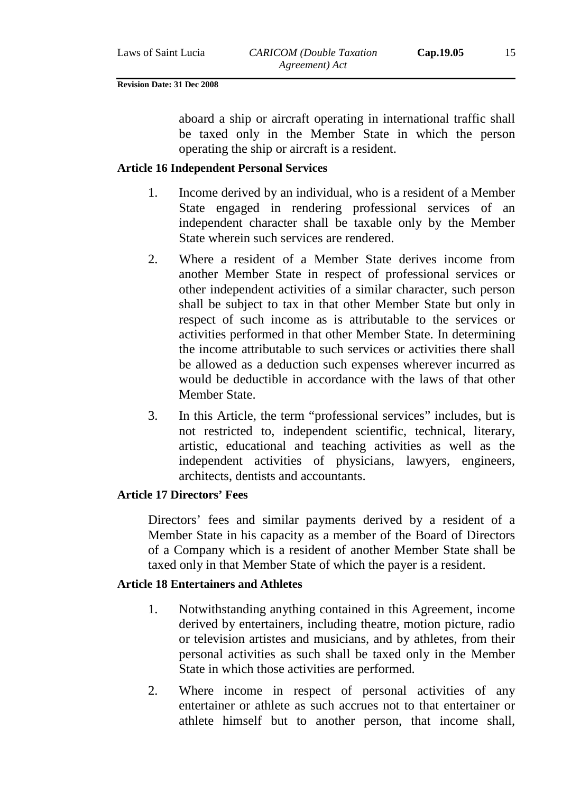aboard a ship or aircraft operating in international traffic shall be taxed only in the Member State in which the person operating the ship or aircraft is a resident.

#### **Article 16 Independent Personal Services**

- 1. Income derived by an individual, who is a resident of a Member State engaged in rendering professional services of an independent character shall be taxable only by the Member State wherein such services are rendered.
- 2. Where a resident of a Member State derives income from another Member State in respect of professional services or other independent activities of a similar character, such person shall be subject to tax in that other Member State but only in respect of such income as is attributable to the services or activities performed in that other Member State. In determining the income attributable to such services or activities there shall be allowed as a deduction such expenses wherever incurred as would be deductible in accordance with the laws of that other Member State.
- 3. In this Article, the term "professional services" includes, but is not restricted to, independent scientific, technical, literary, artistic, educational and teaching activities as well as the independent activities of physicians, lawyers, engineers, architects, dentists and accountants.

#### **Article 17 Directors' Fees**

Directors' fees and similar payments derived by a resident of a Member State in his capacity as a member of the Board of Directors of a Company which is a resident of another Member State shall be taxed only in that Member State of which the payer is a resident.

#### **Article 18 Entertainers and Athletes**

- 1. Notwithstanding anything contained in this Agreement, income derived by entertainers, including theatre, motion picture, radio or television artistes and musicians, and by athletes, from their personal activities as such shall be taxed only in the Member State in which those activities are performed.
- 2. Where income in respect of personal activities of any entertainer or athlete as such accrues not to that entertainer or athlete himself but to another person, that income shall,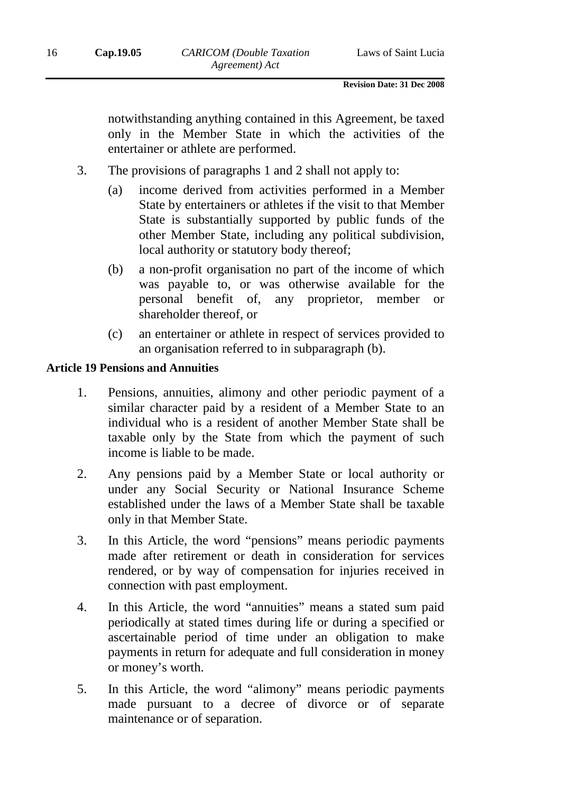notwithstanding anything contained in this Agreement, be taxed only in the Member State in which the activities of the entertainer or athlete are performed.

- 3. The provisions of paragraphs 1 and 2 shall not apply to:
	- (a) income derived from activities performed in a Member State by entertainers or athletes if the visit to that Member State is substantially supported by public funds of the other Member State, including any political subdivision, local authority or statutory body thereof;
	- (b) a non-profit organisation no part of the income of which was payable to, or was otherwise available for the personal benefit of, any proprietor, member or shareholder thereof, or
	- (c) an entertainer or athlete in respect of services provided to an organisation referred to in subparagraph (b).

#### **Article 19 Pensions and Annuities**

- 1. Pensions, annuities, alimony and other periodic payment of a similar character paid by a resident of a Member State to an individual who is a resident of another Member State shall be taxable only by the State from which the payment of such income is liable to be made.
- 2. Any pensions paid by a Member State or local authority or under any Social Security or National Insurance Scheme established under the laws of a Member State shall be taxable only in that Member State.
- 3. In this Article, the word "pensions" means periodic payments made after retirement or death in consideration for services rendered, or by way of compensation for injuries received in connection with past employment.
- 4. In this Article, the word "annuities" means a stated sum paid periodically at stated times during life or during a specified or ascertainable period of time under an obligation to make payments in return for adequate and full consideration in money or money's worth.
- 5. In this Article, the word "alimony" means periodic payments made pursuant to a decree of divorce or of separate maintenance or of separation.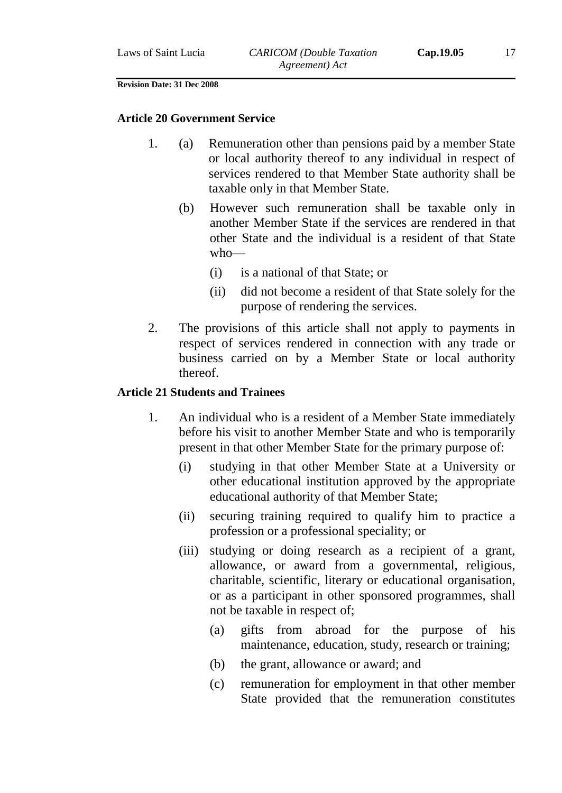#### **Article 20 Government Service**

- 1. (a) Remuneration other than pensions paid by a member State or local authority thereof to any individual in respect of services rendered to that Member State authority shall be taxable only in that Member State.
	- (b) However such remuneration shall be taxable only in another Member State if the services are rendered in that other State and the individual is a resident of that State who—
		- (i) is a national of that State; or
		- (ii) did not become a resident of that State solely for the purpose of rendering the services.
- 2. The provisions of this article shall not apply to payments in respect of services rendered in connection with any trade or business carried on by a Member State or local authority thereof.

#### **Article 21 Students and Trainees**

- 1. An individual who is a resident of a Member State immediately before his visit to another Member State and who is temporarily present in that other Member State for the primary purpose of:
	- (i) studying in that other Member State at a University or other educational institution approved by the appropriate educational authority of that Member State;
	- (ii) securing training required to qualify him to practice a profession or a professional speciality; or
	- (iii) studying or doing research as a recipient of a grant, allowance, or award from a governmental, religious, charitable, scientific, literary or educational organisation, or as a participant in other sponsored programmes, shall not be taxable in respect of;
		- (a) gifts from abroad for the purpose of his maintenance, education, study, research or training;
		- (b) the grant, allowance or award; and
		- (c) remuneration for employment in that other member State provided that the remuneration constitutes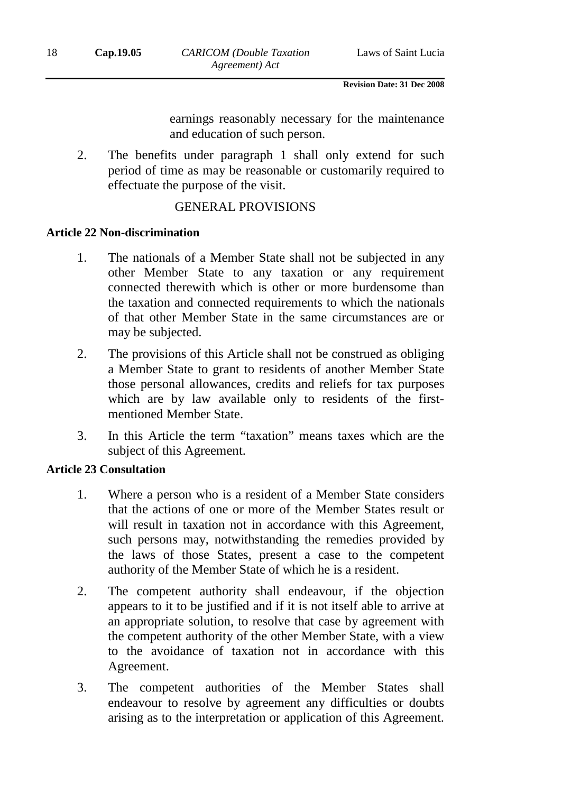earnings reasonably necessary for the maintenance and education of such person.

2. The benefits under paragraph 1 shall only extend for such period of time as may be reasonable or customarily required to effectuate the purpose of the visit.

## GENERAL PROVISIONS

#### **Article 22 Non-discrimination**

- 1. The nationals of a Member State shall not be subjected in any other Member State to any taxation or any requirement connected therewith which is other or more burdensome than the taxation and connected requirements to which the nationals of that other Member State in the same circumstances are or may be subjected.
- 2. The provisions of this Article shall not be construed as obliging a Member State to grant to residents of another Member State those personal allowances, credits and reliefs for tax purposes which are by law available only to residents of the firstmentioned Member State.
- 3. In this Article the term "taxation" means taxes which are the subject of this Agreement.

## **Article 23 Consultation**

- 1. Where a person who is a resident of a Member State considers that the actions of one or more of the Member States result or will result in taxation not in accordance with this Agreement, such persons may, notwithstanding the remedies provided by the laws of those States, present a case to the competent authority of the Member State of which he is a resident.
- 2. The competent authority shall endeavour, if the objection appears to it to be justified and if it is not itself able to arrive at an appropriate solution, to resolve that case by agreement with the competent authority of the other Member State, with a view to the avoidance of taxation not in accordance with this Agreement.
- 3. The competent authorities of the Member States shall endeavour to resolve by agreement any difficulties or doubts arising as to the interpretation or application of this Agreement.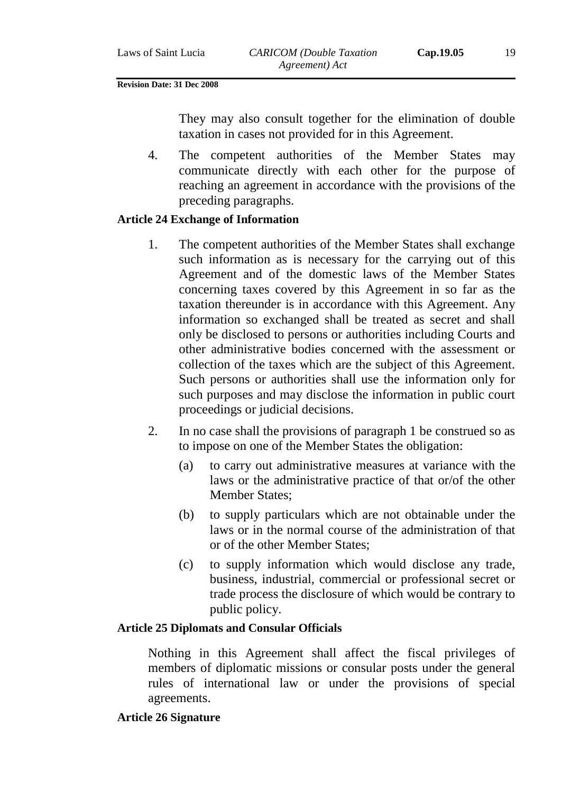They may also consult together for the elimination of double taxation in cases not provided for in this Agreement.

4. The competent authorities of the Member States may communicate directly with each other for the purpose of reaching an agreement in accordance with the provisions of the preceding paragraphs.

#### **Article 24 Exchange of Information**

- 1. The competent authorities of the Member States shall exchange such information as is necessary for the carrying out of this Agreement and of the domestic laws of the Member States concerning taxes covered by this Agreement in so far as the taxation thereunder is in accordance with this Agreement. Any information so exchanged shall be treated as secret and shall only be disclosed to persons or authorities including Courts and other administrative bodies concerned with the assessment or collection of the taxes which are the subject of this Agreement. Such persons or authorities shall use the information only for such purposes and may disclose the information in public court proceedings or judicial decisions.
- 2. In no case shall the provisions of paragraph 1 be construed so as to impose on one of the Member States the obligation:
	- (a) to carry out administrative measures at variance with the laws or the administrative practice of that or/of the other Member States;
	- (b) to supply particulars which are not obtainable under the laws or in the normal course of the administration of that or of the other Member States;
	- (c) to supply information which would disclose any trade, business, industrial, commercial or professional secret or trade process the disclosure of which would be contrary to public policy.

#### **Article 25 Diplomats and Consular Officials**

Nothing in this Agreement shall affect the fiscal privileges of members of diplomatic missions or consular posts under the general rules of international law or under the provisions of special agreements.

#### **Article 26 Signature**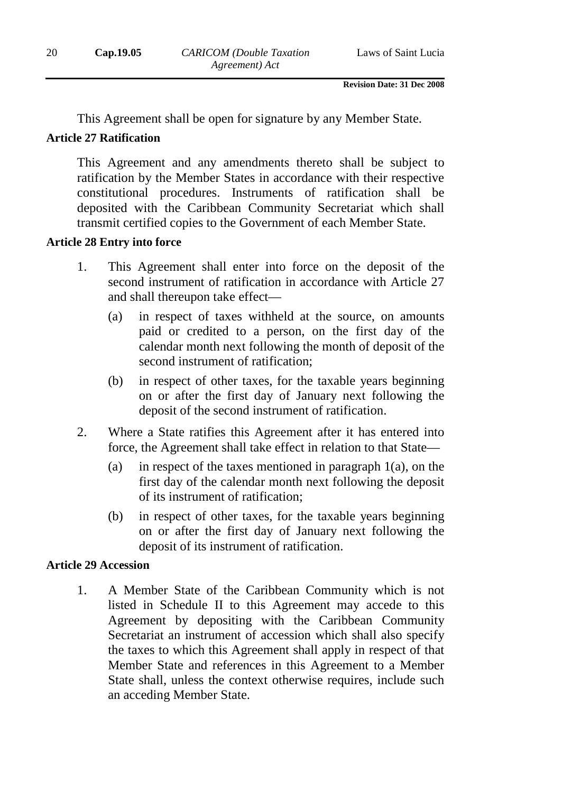This Agreement shall be open for signature by any Member State.

## **Article 27 Ratification**

This Agreement and any amendments thereto shall be subject to ratification by the Member States in accordance with their respective constitutional procedures. Instruments of ratification shall be deposited with the Caribbean Community Secretariat which shall transmit certified copies to the Government of each Member State.

## **Article 28 Entry into force**

- 1. This Agreement shall enter into force on the deposit of the second instrument of ratification in accordance with Article 27 and shall thereupon take effect—
	- (a) in respect of taxes withheld at the source, on amounts paid or credited to a person, on the first day of the calendar month next following the month of deposit of the second instrument of ratification;
	- (b) in respect of other taxes, for the taxable years beginning on or after the first day of January next following the deposit of the second instrument of ratification.
- 2. Where a State ratifies this Agreement after it has entered into force, the Agreement shall take effect in relation to that State—
	- (a) in respect of the taxes mentioned in paragraph 1(a), on the first day of the calendar month next following the deposit of its instrument of ratification;
	- (b) in respect of other taxes, for the taxable years beginning on or after the first day of January next following the deposit of its instrument of ratification.

## **Article 29 Accession**

1. A Member State of the Caribbean Community which is not listed in Schedule II to this Agreement may accede to this Agreement by depositing with the Caribbean Community Secretariat an instrument of accession which shall also specify the taxes to which this Agreement shall apply in respect of that Member State and references in this Agreement to a Member State shall, unless the context otherwise requires, include such an acceding Member State.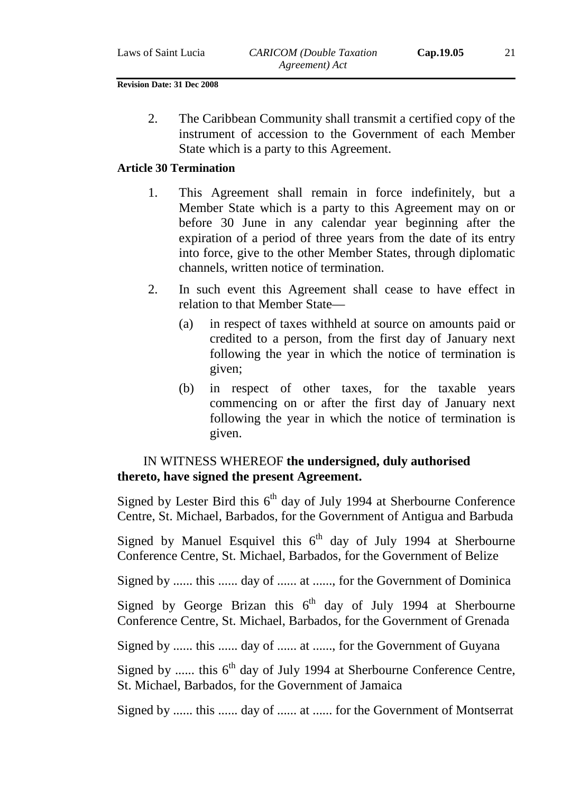2. The Caribbean Community shall transmit a certified copy of the instrument of accession to the Government of each Member State which is a party to this Agreement.

#### **Article 30 Termination**

- 1. This Agreement shall remain in force indefinitely, but a Member State which is a party to this Agreement may on or before 30 June in any calendar year beginning after the expiration of a period of three years from the date of its entry into force, give to the other Member States, through diplomatic channels, written notice of termination.
- 2. In such event this Agreement shall cease to have effect in relation to that Member State—
	- (a) in respect of taxes withheld at source on amounts paid or credited to a person, from the first day of January next following the year in which the notice of termination is given;
	- (b) in respect of other taxes, for the taxable years commencing on or after the first day of January next following the year in which the notice of termination is given.

# IN WITNESS WHEREOF **the undersigned, duly authorised thereto, have signed the present Agreement.**

Signed by Lester Bird this  $6<sup>th</sup>$  day of July 1994 at Sherbourne Conference Centre, St. Michael, Barbados, for the Government of Antigua and Barbuda

Signed by Manuel Esquivel this  $6<sup>th</sup>$  day of July 1994 at Sherbourne Conference Centre, St. Michael, Barbados, for the Government of Belize

Signed by ...... this ...... day of ...... at ......, for the Government of Dominica

Signed by George Brizan this  $6<sup>th</sup>$  day of July 1994 at Sherbourne Conference Centre, St. Michael, Barbados, for the Government of Grenada

Signed by ...... this ...... day of ...... at ......, for the Government of Guyana

Signed by ...... this  $6<sup>th</sup>$  day of July 1994 at Sherbourne Conference Centre, St. Michael, Barbados, for the Government of Jamaica

Signed by ...... this ...... day of ...... at ...... for the Government of Montserrat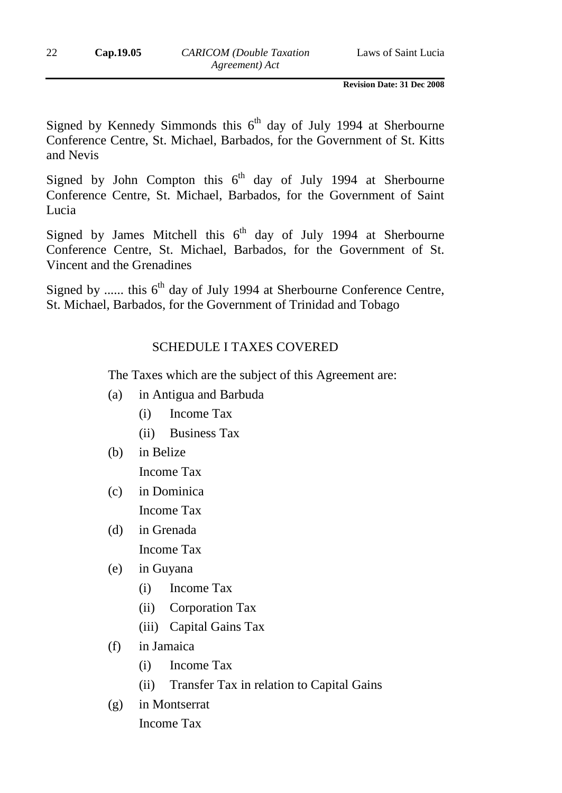Signed by Kennedy Simmonds this  $6<sup>th</sup>$  day of July 1994 at Sherbourne Conference Centre, St. Michael, Barbados, for the Government of St. Kitts and Nevis

Signed by John Compton this  $6<sup>th</sup>$  day of July 1994 at Sherbourne Conference Centre, St. Michael, Barbados, for the Government of Saint Lucia

Signed by James Mitchell this  $6<sup>th</sup>$  day of July 1994 at Sherbourne Conference Centre, St. Michael, Barbados, for the Government of St. Vincent and the Grenadines

Signed by ...... this  $6<sup>th</sup>$  day of July 1994 at Sherbourne Conference Centre, St. Michael, Barbados, for the Government of Trinidad and Tobago

# SCHEDULE I TAXES COVERED

The Taxes which are the subject of this Agreement are:

- (a) in Antigua and Barbuda
	- (i) Income Tax
	- (ii) Business Tax
- (b) in Belize Income Tax
- (c) in Dominica Income Tax
- (d) in Grenada Income Tax
- (e) in Guyana
	- (i) Income Tax
	- (ii) Corporation Tax
	- (iii) Capital Gains Tax
- (f) in Jamaica
	- (i) Income Tax
	- (ii) Transfer Tax in relation to Capital Gains
- (g) in Montserrat Income Tax